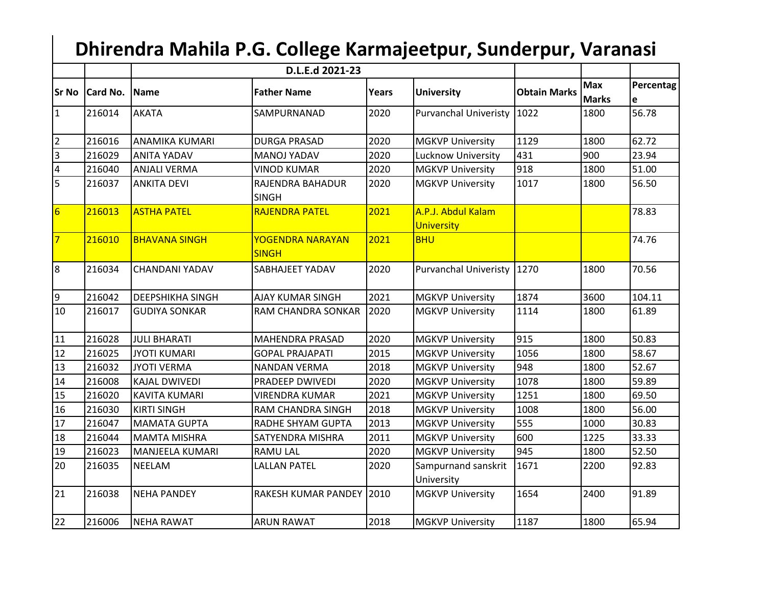## **Dhirendra Mahila P.G. College Karmajeetpur, Sunderpur, Varanasi**

|                  |                 | D.L.E.d 2021-23         |                                  |       |                                         |                     |                            |                |
|------------------|-----------------|-------------------------|----------------------------------|-------|-----------------------------------------|---------------------|----------------------------|----------------|
| <b>Sr No</b>     | <b>Card No.</b> | <b>Name</b>             | <b>Father Name</b>               | Years | <b>University</b>                       | <b>Obtain Marks</b> | <b>Max</b><br><b>Marks</b> | Percentag<br>e |
| 1                | 216014          | <b>AKATA</b>            | SAMPURNANAD                      | 2020  | Purvanchal Univeristy 1022              |                     | 1800                       | 56.78          |
| $\overline{2}$   | 216016          | <b>ANAMIKA KUMARI</b>   | <b>DURGA PRASAD</b>              | 2020  | <b>MGKVP University</b>                 | 1129                | 1800                       | 62.72          |
| $\overline{3}$   | 216029          | <b>ANITA YADAV</b>      | <b>MANOJ YADAV</b>               | 2020  | Lucknow University                      | 431                 | 900                        | 23.94          |
| $\overline{4}$   | 216040          | <b>ANJALI VERMA</b>     | <b>VINOD KUMAR</b>               | 2020  | <b>MGKVP University</b>                 | 918                 | 1800                       | 51.00          |
| 5                | 216037          | <b>ANKITA DEVI</b>      | RAJENDRA BAHADUR<br><b>SINGH</b> | 2020  | <b>MGKVP University</b>                 | 1017                | 1800                       | 56.50          |
| $6 \overline{6}$ | 216013          | <b>ASTHA PATEL</b>      | RAJENDRA PATEL                   | 2021  | A.P.J. Abdul Kalam<br><b>University</b> |                     |                            | 78.83          |
| $\overline{7}$   | 216010          | <b>BHAVANA SINGH</b>    | YOGENDRA NARAYAN<br><b>SINGH</b> | 2021  | <b>BHU</b>                              |                     |                            | 74.76          |
| 8                | 216034          | <b>CHANDANI YADAV</b>   | SABHAJEET YADAV                  | 2020  | Purvanchal Univeristy 1270              |                     | 1800                       | 70.56          |
| l9.              | 216042          | <b>DEEPSHIKHA SINGH</b> | AJAY KUMAR SINGH                 | 2021  | <b>MGKVP University</b>                 | 1874                | 3600                       | 104.11         |
| 10               | 216017          | <b>GUDIYA SONKAR</b>    | <b>RAM CHANDRA SONKAR</b>        | 2020  | <b>MGKVP University</b>                 | 1114                | 1800                       | 61.89          |
| 11               | 216028          | <b>JULI BHARATI</b>     | <b>MAHENDRA PRASAD</b>           | 2020  | <b>MGKVP University</b>                 | 915                 | 1800                       | 50.83          |
| 12               | 216025          | <b>JYOTI KUMARI</b>     | <b>GOPAL PRAJAPATI</b>           | 2015  | <b>MGKVP University</b>                 | 1056                | 1800                       | 58.67          |
| 13               | 216032          | <b>JYOTI VERMA</b>      | <b>NANDAN VERMA</b>              | 2018  | <b>MGKVP University</b>                 | 948                 | 1800                       | 52.67          |
| 14               | 216008          | <b>KAJAL DWIVEDI</b>    | PRADEEP DWIVEDI                  | 2020  | <b>MGKVP University</b>                 | 1078                | 1800                       | 59.89          |
| 15               | 216020          | <b>KAVITA KUMARI</b>    | <b>VIRENDRA KUMAR</b>            | 2021  | <b>MGKVP University</b>                 | 1251                | 1800                       | 69.50          |
| 16               | 216030          | <b>KIRTI SINGH</b>      | RAM CHANDRA SINGH                | 2018  | <b>MGKVP University</b>                 | 1008                | 1800                       | 56.00          |
| 17               | 216047          | <b>MAMATA GUPTA</b>     | RADHE SHYAM GUPTA                | 2013  | <b>MGKVP University</b>                 | 555                 | 1000                       | 30.83          |
| 18               | 216044          | <b>MAMTA MISHRA</b>     | SATYENDRA MISHRA                 | 2011  | <b>MGKVP University</b>                 | 600                 | 1225                       | 33.33          |
| 19               | 216023          | <b>MANJEELA KUMARI</b>  | <b>RAMU LAL</b>                  | 2020  | <b>MGKVP University</b>                 | 945                 | 1800                       | 52.50          |
| 20               | 216035          | <b>NEELAM</b>           | <b>LALLAN PATEL</b>              | 2020  | Sampurnand sanskrit<br>University       | 1671                | 2200                       | 92.83          |
| 21               | 216038          | <b>NEHA PANDEY</b>      | RAKESH KUMAR PANDEY              | 2010  | <b>MGKVP University</b>                 | 1654                | 2400                       | 91.89          |
| 22               | 216006          | <b>NEHA RAWAT</b>       | <b>ARUN RAWAT</b>                | 2018  | <b>MGKVP University</b>                 | 1187                | 1800                       | 65.94          |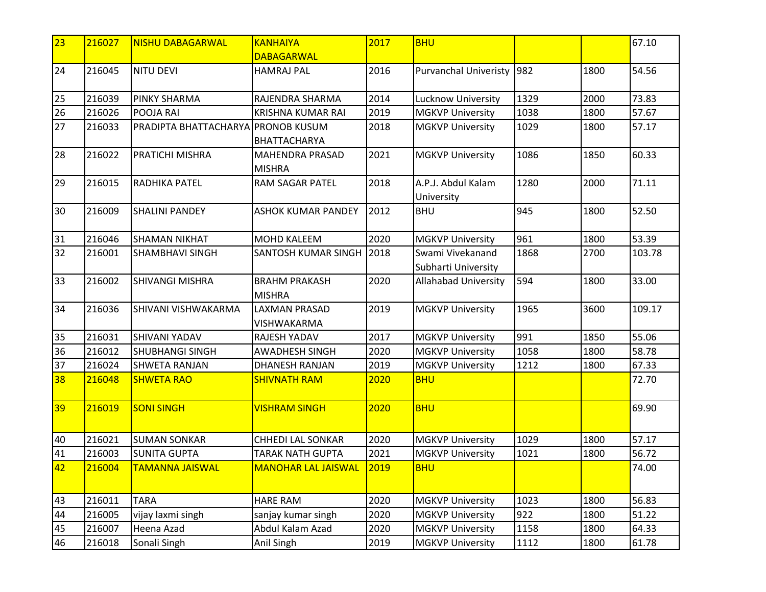| 23 | 216027 | <b>NISHU DABAGARWAL</b>            | <b>KANHAIYA</b>            | 2017 | <b>BHU</b>                   |      |      | 67.10  |
|----|--------|------------------------------------|----------------------------|------|------------------------------|------|------|--------|
|    |        |                                    | <b>DABAGARWAL</b>          |      |                              |      |      |        |
| 24 | 216045 | <b>NITU DEVI</b>                   | <b>HAMRAJ PAL</b>          | 2016 | <b>Purvanchal Univeristy</b> | 982  | 1800 | 54.56  |
|    |        |                                    |                            |      |                              |      |      |        |
| 25 | 216039 | <b>PINKY SHARMA</b>                | RAJENDRA SHARMA            | 2014 | Lucknow University           | 1329 | 2000 | 73.83  |
| 26 | 216026 | POOJA RAI                          | <b>KRISHNA KUMAR RAI</b>   | 2019 | <b>MGKVP University</b>      | 1038 | 1800 | 57.67  |
| 27 | 216033 | PRADIPTA BHATTACHARYA PRONOB KUSUM |                            | 2018 | <b>MGKVP University</b>      | 1029 | 1800 | 57.17  |
|    |        |                                    | <b>BHATTACHARYA</b>        |      |                              |      |      |        |
| 28 | 216022 | PRATICHI MISHRA                    | <b>MAHENDRA PRASAD</b>     | 2021 | <b>MGKVP University</b>      | 1086 | 1850 | 60.33  |
|    |        |                                    | <b>MISHRA</b>              |      |                              |      |      |        |
| 29 | 216015 | RADHIKA PATEL                      | <b>RAM SAGAR PATEL</b>     | 2018 | A.P.J. Abdul Kalam           | 1280 | 2000 | 71.11  |
|    |        |                                    |                            |      | University                   |      |      |        |
| 30 | 216009 | <b>SHALINI PANDEY</b>              | <b>ASHOK KUMAR PANDEY</b>  | 2012 | <b>BHU</b>                   | 945  | 1800 | 52.50  |
|    |        |                                    |                            |      |                              |      |      |        |
| 31 | 216046 | <b>SHAMAN NIKHAT</b>               | <b>MOHD KALEEM</b>         | 2020 | <b>MGKVP University</b>      | 961  | 1800 | 53.39  |
| 32 | 216001 | <b>SHAMBHAVI SINGH</b>             | <b>SANTOSH KUMAR SINGH</b> | 2018 | Swami Vivekanand             | 1868 | 2700 | 103.78 |
|    |        |                                    |                            |      | Subharti University          |      |      |        |
| 33 | 216002 | <b>SHIVANGI MISHRA</b>             | <b>BRAHM PRAKASH</b>       | 2020 | <b>Allahabad University</b>  | 594  | 1800 | 33.00  |
|    |        |                                    | <b>MISHRA</b>              |      |                              |      |      |        |
| 34 | 216036 | SHIVANI VISHWAKARMA                | <b>LAXMAN PRASAD</b>       | 2019 | <b>MGKVP University</b>      | 1965 | 3600 | 109.17 |
|    |        |                                    | VISHWAKARMA                |      |                              |      |      |        |
| 35 | 216031 | <b>SHIVANI YADAV</b>               | <b>RAJESH YADAV</b>        | 2017 | <b>MGKVP University</b>      | 991  | 1850 | 55.06  |
| 36 | 216012 | <b>SHUBHANGI SINGH</b>             | <b>AWADHESH SINGH</b>      | 2020 | <b>MGKVP University</b>      | 1058 | 1800 | 58.78  |
| 37 | 216024 | <b>SHWETA RANJAN</b>               | <b>DHANESH RANJAN</b>      | 2019 | <b>MGKVP University</b>      | 1212 | 1800 | 67.33  |
| 38 | 216048 | <b>SHWETA RAO</b>                  | <b>SHIVNATH RAM</b>        | 2020 | <b>BHU</b>                   |      |      | 72.70  |
|    |        |                                    |                            |      |                              |      |      |        |
| 39 | 216019 | <b>SONI SINGH</b>                  | <b>VISHRAM SINGH</b>       | 2020 | <b>BHU</b>                   |      |      | 69.90  |
|    |        |                                    |                            |      |                              |      |      |        |
| 40 | 216021 | <b>SUMAN SONKAR</b>                | <b>CHHEDI LAL SONKAR</b>   | 2020 | <b>MGKVP University</b>      | 1029 | 1800 | 57.17  |
| 41 | 216003 | <b>SUNITA GUPTA</b>                | <b>TARAK NATH GUPTA</b>    | 2021 | <b>MGKVP University</b>      | 1021 | 1800 | 56.72  |
| 42 | 216004 | TAMANNA JAISWAL                    | MANOHAR LAL JAISWAL 2019   |      | <b>BHU</b>                   |      |      | 74.00  |
|    |        |                                    |                            |      |                              |      |      |        |
| 43 | 216011 | <b>TARA</b>                        | <b>HARE RAM</b>            | 2020 | <b>MGKVP University</b>      | 1023 | 1800 | 56.83  |
| 44 | 216005 | vijay laxmi singh                  | sanjay kumar singh         | 2020 | <b>MGKVP University</b>      | 922  | 1800 | 51.22  |
| 45 | 216007 | Heena Azad                         | Abdul Kalam Azad           | 2020 | <b>MGKVP University</b>      | 1158 | 1800 | 64.33  |
|    |        |                                    |                            |      |                              |      |      |        |
| 46 | 216018 | Sonali Singh                       | Anil Singh                 | 2019 | <b>MGKVP University</b>      | 1112 | 1800 | 61.78  |